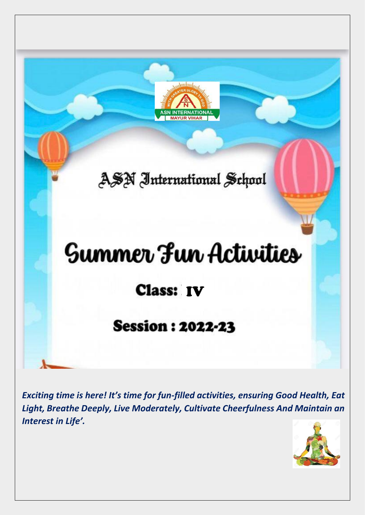

*Exciting time is here! It's time for fun-filled activities, ensuring Good Health, Eat Light, Breathe Deeply, Live Moderately, Cultivate Cheerfulness And Maintain an Interest in Life'.*

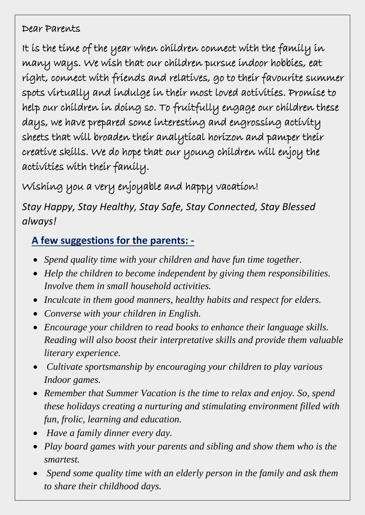### Dear Parents

It is the time of the year when children connect with the family in many ways. We wish that our children pursue indoor hobbies, eat right, connect with friends and relatives, go to their favourite summer spots virtually and indulge in their most loved activities. Promise to help our children in doing so. To fruitfully engage our children these days, we have prepared some interesting and engrossing activity sheets that will broaden their analytical horizon and pamper their creative skills. We do hope that our young children will enjoy the activities with their family.

Wishing you a very enjoyable and happy vacation!

*Stay Happy, Stay Healthy, Stay Safe, Stay Connected, Stay Blessed always!*

### **A few suggestions for the parents: -**

- *Spend quality time with your children and have fun time together.*
- *Help the children to become independent by giving them responsibilities. Involve them in small household activities.*
- *Inculcate in them good manners, healthy habits and respect for elders.*
- *Converse with your children in English.*
- *Encourage your children to read books to enhance their language skills. Reading will also boost their interpretative skills and provide them valuable literary experience.*
- *Cultivate sportsmanship by encouraging your children to play various Indoor games.*
- *Remember that Summer Vacation is the time to relax and enjoy. So, spend these holidays creating a nurturing and stimulating environment filled with fun, frolic, learning and education.*
- *Have a family dinner every day.*
- *Play board games with your parents and sibling and show them who is the smartest.*
- *Spend some quality time with an elderly person in the family and ask them to share their childhood days.*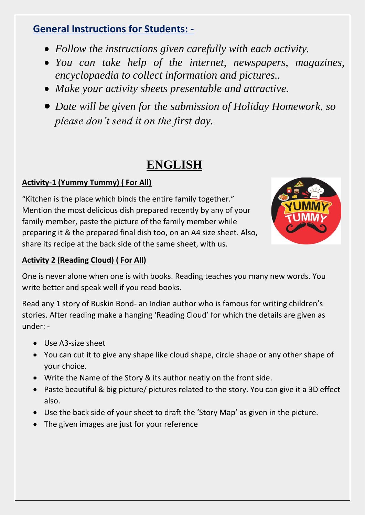### **General Instructions for Students: -**

- *Follow the instructions given carefully with each activity.*
- *You can take help of the internet, newspapers, magazines, encyclopaedia to collect information and pictures..*
- *Make your activity sheets presentable and attractive.*
- *Date will be given for the submission of Holiday Homework, so please don't send it on the first day.*

# **ENGLISH**

#### **Activity-1 (Yummy Tummy) ( For All)**

"Kitchen is the place which binds the entire family together." Mention the most delicious dish prepared recently by any of your family member, paste the picture of the family member while preparing it & the prepared final dish too, on an A4 size sheet. Also, share its recipe at the back side of the same sheet, with us.



#### **Activity 2 (Reading Cloud) ( For All)**

One is never alone when one is with books. Reading teaches you many new words. You write better and speak well if you read books.

Read any 1 story of Ruskin Bond- an Indian author who is famous for writing children's stories. After reading make a hanging 'Reading Cloud' for which the details are given as under: -

- Use A3-size sheet
- You can cut it to give any shape like cloud shape, circle shape or any other shape of your choice.
- Write the Name of the Story & its author neatly on the front side.
- Paste beautiful & big picture/ pictures related to the story. You can give it a 3D effect also.
- Use the back side of your sheet to draft the 'Story Map' as given in the picture.
- The given images are just for your reference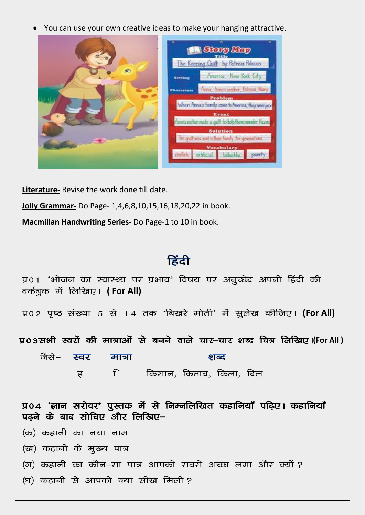You can use your own creative ideas to make your hanging attractive.  $\bullet$ 



Literature- Revise the work done till date.

Jolly Grammar- Do Page- 1,4,6,8,10,15,16,18,20,22 in book.

Macmillan Handwriting Series- Do Page-1 to 10 in book.

## हिंदी

| प्र01 'भोजन का स्वास्थ्य पर प्रभाव' विषय पर अनुच्छेद अपनी हिंदी की<br>वर्कबुक में लिखिए। (For All)    |  |  |  |  |
|-------------------------------------------------------------------------------------------------------|--|--|--|--|
| प्र02 पृष्ठ संख्या 5 से 14 तक 'बिखरे मोती' में सूलेख कीजिए। (For All)                                 |  |  |  |  |
| प्र०३सभी स्वर्रो की मात्राओं से बनने वाले चार–चार शब्द चित्र लिखिए।(For All )                         |  |  |  |  |
| जैसे– स्वर मात्रा<br>शब्द                                                                             |  |  |  |  |
| इ विस्पान, किताब, किला, दिल                                                                           |  |  |  |  |
| प्र04 'ज्ञान सरोवर' पुस्तक में से निम्नलिखित कहानियाँ पढ़िए। कहानियाँ<br>पढ़ने के बाद सोचिए और लिखिए– |  |  |  |  |
| (क) कहानी का नया नाम                                                                                  |  |  |  |  |
| (ख) कहानी के मुख्य पात्र                                                                              |  |  |  |  |
| (ग) कहानी का कौन–सा पात्र आपको सबसे अच्छा लगा और क्यों ?                                              |  |  |  |  |
| (घ) कहानी से आपको क्या सीख मिली?                                                                      |  |  |  |  |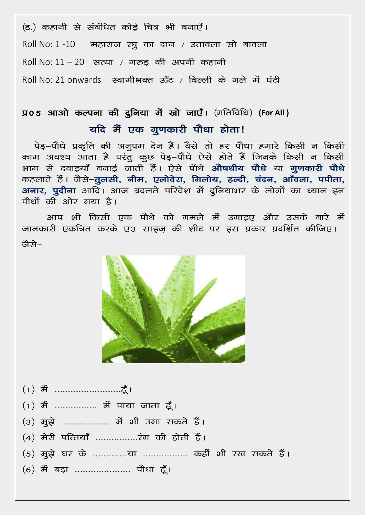(ड.) कहानी से संबंधित कोई चित्र भी बनाएँ। Roll No: 1 -10 महाराज रघू का दान / उतावला सो बावला Roll No:  $11 - 20$  सत्या / गरुड़ की अपनी कहानी Roll No: 21 onwards स्वामीभक्त ऊँट / बिल्ली के गले में घंटी

# प्र05 आओ कल्पना की दुनिया में खो जाएँ। (गतिविधि) (For All) यदि मैं एक गुणकारी पौधा होता!

पेड़-पौधे प्रकृति की अनूपम देन हैं। वैसे तो हर पौधा हमारे किसी न किसी काम अवश्य आता है परंतू कूछ पेड़-पौधे ऐसे होते हैं जिनके किसी न किसी भाग से दवाइयाँ बनाई जाती हैं। ऐसे पौधे <mark>औषधीय पौधे</mark> या **गुणकारी पौधे** कहलाते हैं। जैसे-तूलसी, नीम, एलोवेरा, गिलोय, हल्दी, चंदन, आँवला, पपीता, अनार, पुदीना आदि। आज बदलते परिवेश में दुनियाभर के लोगों का ध्यान इन पौधों की ओर गया है।

आप भी किसी एक पौधे को गमले में उगाडए और उसके बारे में जानकारी एकत्रित करके ए3 साइज़ की शीट पर इस प्रकार प्रदर्शित कीजिए। लेचे–



- 
- $(1)$  मैं ................ में पाया जाता हूँ।
- (3) मूझे .................. में भी उगा सकते हैं।
- 
- (5) मुझे घर के .............या ................ कहीं भी रख सकते हैं।
- (6) मैं बड़ा ..................... पौधा हूँ।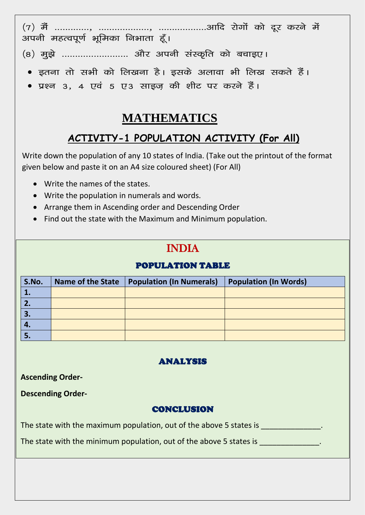$(7)$   $\tilde{d}$  ............. .<br>अपनी महत्वपूर्ण भूमिका निभाता हूँ।

- (8) मुझे ......................... और अपनी संस्कृति को बचाइए।
	- इतना तो सभी को लिखना है। इसके अलावा भी लिख सकते हैं।
	- प्रश्न ३, ४ एवं ५ ए३ साइज़ की शीट पर करने हैं।

## **MATHEMATICS**

## ACTIVITY-1 POPULATION ACTIVITY (For All)

Write down the population of any 10 states of India. (Take out the printout of the format given below and paste it on an A4 size coloured sheet) (For All)

- Write the names of the states.
- Write the population in numerals and words.
- Arrange them in Ascending order and Descending Order
- Find out the state with the Maximum and Minimum population.

## **INDIA**

#### **POPULATION TABLE**

| S.No.        | <b>Name of the State</b> | <b>Population (In Numerals)</b> | <b>Population (In Words)</b> |
|--------------|--------------------------|---------------------------------|------------------------------|
|              |                          |                                 |                              |
| $\mathbf{2}$ |                          |                                 |                              |
| 3.           |                          |                                 |                              |
| $\mathbf{4}$ |                          |                                 |                              |
| D.           |                          |                                 |                              |

#### **ANALYSIS**

**Ascending Order-**

**Descending Order-**

#### **CONCLUSION**

The state with the maximum population, out of the above 5 states is

The state with the minimum population, out of the above 5 states is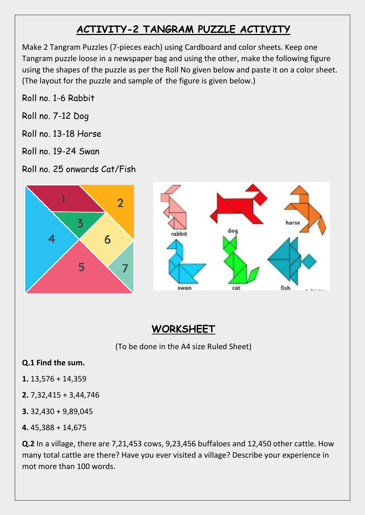# **ACTIVITY-2 TANGRAM PUZZLE ACTIVITY**

Make 2 Tangram Puzzles (7-pieces each) using Cardboard and color sheets. Keep one Tangram puzzle loose in a newspaper bag and using the other, make the following figure using the shapes of the puzzle as per the Roll No given below and paste it on a color sheet. (The layout for the puzzle and sample of the figure is given below.)

Roll no. 1-6 Rabbit

- Roll no. 7-12 Dog
- Roll no. 13-18 Horse
- Roll no. 19-24 Swan
- Roll no. 25 onwards Cat/Fish



## **WORKSHEET**

(To be done in the A4 size Ruled Sheet)

#### **Q.1 Find the sum.**

- **1.** 13,576 + 14,359
- **2.** 7,32,415 + 3,44,746
- **3.** 32,430 + 9,89,045
- **4.** 45,388 + 14,675

**Q.2** In a village, there are 7,21,453 cows, 9,23,456 buffaloes and 12,450 other cattle. How many total cattle are there? Have you ever visited a village? Describe your experience in mot more than 100 words.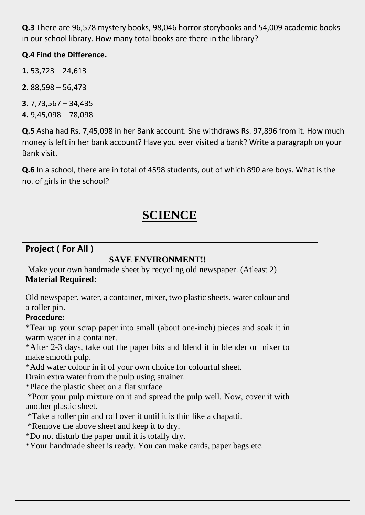**Q.3** There are 96,578 mystery books, 98,046 horror storybooks and 54,009 academic books in our school library. How many total books are there in the library?

#### **Q.4 Find the Difference.**

**1.** 53,723 – 24,613

**2.** 88,598 – 56,473

**3.** 7,73,567 – 34,435 **4.** 9,45,098 – 78,098

**Q.5** Asha had Rs. 7,45,098 in her Bank account. She withdraws Rs. 97,896 from it. How much money is left in her bank account? Have you ever visited a bank? Write a paragraph on your Bank visit.

**Q.6** In a school, there are in total of 4598 students, out of which 890 are boys. What is the no. of girls in the school?

# **SCIENCE**

### **Project ( For All )**

#### **SAVE ENVIRONMENT!!**

Make your own handmade sheet by recycling old newspaper. (Atleast 2) **Material Required:**

Old newspaper, water, a container, mixer, two plastic sheets, water colour and a roller pin.

#### **Procedure:**

\*Tear up your scrap paper into small (about one-inch) pieces and soak it in warm water in a container.

\*After 2-3 days, take out the paper bits and blend it in blender or mixer to make smooth pulp.

\*Add water colour in it of your own choice for colourful sheet.

Drain extra water from the pulp using strainer.

\*Place the plastic sheet on a flat surface

\*Pour your pulp mixture on it and spread the pulp well. Now, cover it with another plastic sheet.

\*Take a roller pin and roll over it until it is thin like a chapatti.

\*Remove the above sheet and keep it to dry.

\*Do not disturb the paper until it is totally dry.

\*Your handmade sheet is ready. You can make cards, paper bags etc.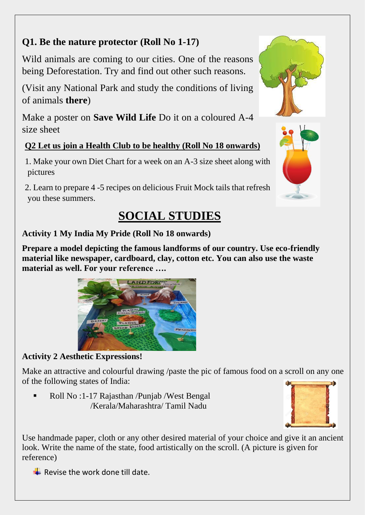### **Q1. Be the nature protector (Roll No 1-17)**

Wild animals are coming to our cities. One of the reasons being Deforestation. Try and find out other such reasons.

(Visit any National Park and study the conditions of living of animals **there**)

Make a poster on **Save Wild Life** Do it on a coloured A-4 size sheet

### **Q2 Let us join a Health Club to be healthy (Roll No 18 onwards)**

1. Make your own Diet Chart for a week on an A-3 size sheet along with pictures

2. Learn to prepare 4 -5 recipes on delicious Fruit Mock tails that refresh you these summers.

# **SOCIAL STUDIES**

### **Activity 1 My India My Pride (Roll No 18 onwards)**

**Prepare a model depicting the famous landforms of our country. Use eco-friendly material like newspaper, cardboard, clay, cotton etc. You can also use the waste material as well. For your reference ….**



### **Activity 2 Aesthetic Expressions!**

Make an attractive and colourful drawing */paste the pic of famous food on a scroll on any one* of the following states of India:

Roll No :1-17 Rajasthan /Punjab /West Bengal /Kerala/Maharashtra/ Tamil Nadu



Use handmade paper, cloth or any other desired material of your choice and give it an ancient look. Write the name of the state, food artistically on the scroll. (A picture is given for reference)

Revise the work done till date.